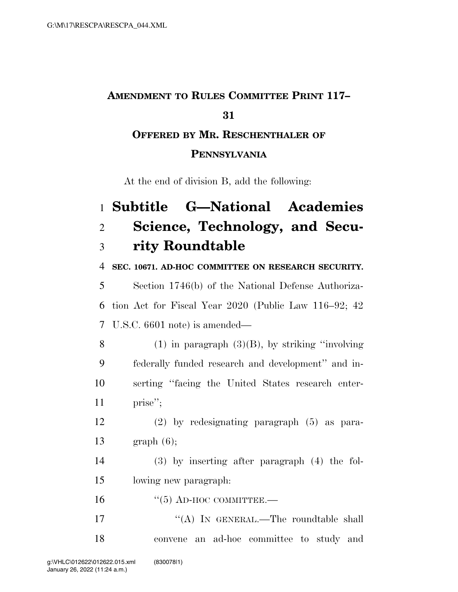## **AMENDMENT TO RULES COMMITTEE PRINT 117– OFFERED BY MR. RESCHENTHALER OF**

### **PENNSYLVANIA**

At the end of division B, add the following:

# **Subtitle G—National Academies Science, Technology, and Secu-rity Roundtable**

#### **SEC. 10671. AD-HOC COMMITTEE ON RESEARCH SECURITY.**

 Section 1746(b) of the National Defense Authoriza- tion Act for Fiscal Year 2020 (Public Law 116–92; 42 U.S.C. 6601 note) is amended—

8 (1) in paragraph  $(3)(B)$ , by striking "involving" federally funded research and development'' and in- serting ''facing the United States research enter-11 prise";

- (2) by redesignating paragraph (5) as para-graph (6);
- (3) by inserting after paragraph (4) the fol-lowing new paragraph:
- "(5) AD-HOC COMMITTEE.—
- 17 ""(A) IN GENERAL.—The roundtable shall convene an ad-hoc committee to study and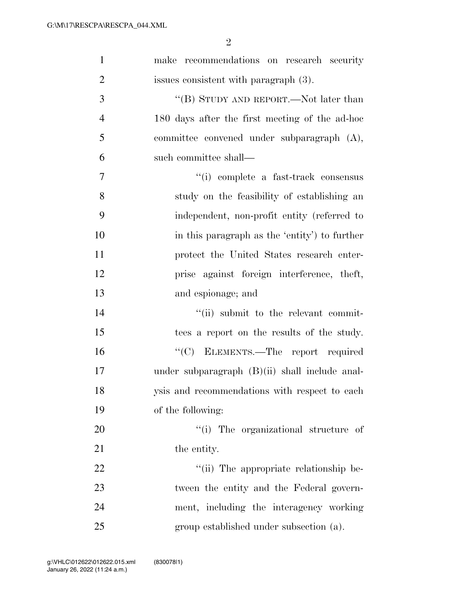| $\mathbf{1}$   | make recommendations on research security        |
|----------------|--------------------------------------------------|
| $\overline{2}$ | issues consistent with paragraph (3).            |
| 3              | "(B) STUDY AND REPORT.—Not later than            |
| $\overline{4}$ | 180 days after the first meeting of the ad-hoc   |
| 5              | committee convened under subparagraph (A),       |
| 6              | such committee shall—                            |
| $\tau$         | "(i) complete a fast-track consensus             |
| 8              | study on the feasibility of establishing an      |
| 9              | independent, non-profit entity (referred to      |
| 10             | in this paragraph as the 'entity' to further     |
| 11             | protect the United States research enter-        |
| 12             | prise against foreign interference, theft,       |
| 13             | and espionage; and                               |
| 14             | "(ii) submit to the relevant commit-             |
| 15             | tees a report on the results of the study.       |
| 16             | "(C) ELEMENTS.—The report required               |
| 17             | under subparagraph $(B)(ii)$ shall include anal- |
| 18             | ysis and recommendations with respect to each    |
| 19             | of the following:                                |
| 20             | "(i) The organizational structure of             |
| 21             | the entity.                                      |
| 22             | "(ii) The appropriate relationship be-           |
| 23             | tween the entity and the Federal govern-         |
| 24             | ment, including the interagency working          |
| 25             | group established under subsection (a).          |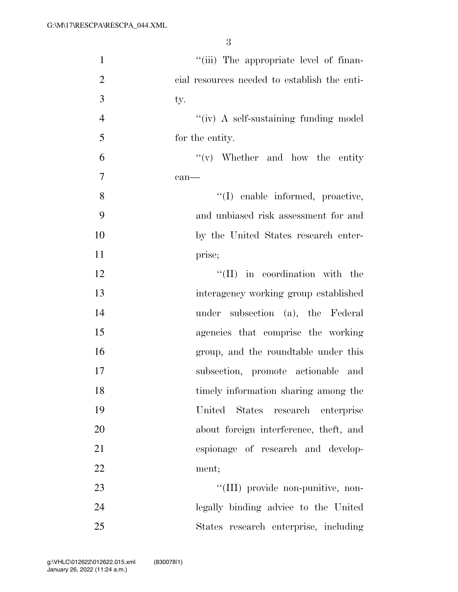| $\mathbf{1}$   | "(iii) The appropriate level of finan-       |
|----------------|----------------------------------------------|
| $\overline{2}$ | cial resources needed to establish the enti- |
| 3              | ty.                                          |
| $\overline{4}$ | "(iv) A self-sustaining funding model        |
| 5              | for the entity.                              |
| 6              | $f'(v)$ Whether and how the entity           |
| $\overline{7}$ | $can$ —                                      |
| 8              | "(I) enable informed, proactive,             |
| 9              | and unbiased risk assessment for and         |
| 10             | by the United States research enter-         |
| 11             | prise;                                       |
| 12             | $\lq\lq$ (II) in coordination with the       |
| 13             | interagency working group established        |
| 14             | under subsection (a), the Federal            |
| 15             | agencies that comprise the working           |
| 16             | group, and the roundtable under this         |
| 17             | subsection, promote actionable and           |
| 18             | timely information sharing among the         |
| 19             | United States<br>research<br>enterprise      |
| 20             | about foreign interference, theft, and       |
| 21             | espionage of research and develop-           |
| 22             | ment;                                        |
| 23             | "(III) provide non-punitive, non-            |
| 24             | legally binding advice to the United         |
| 25             | States research enterprise, including        |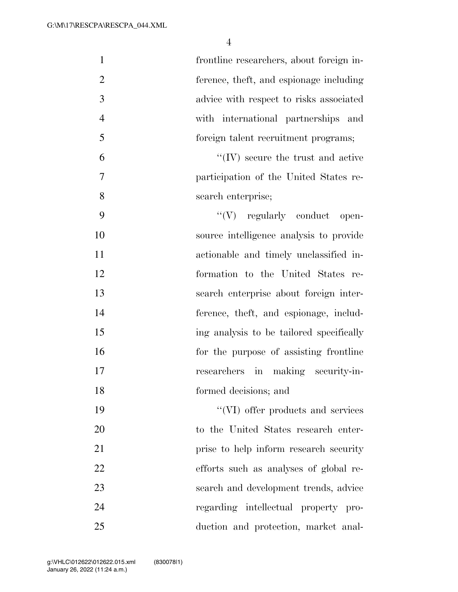| $\mathbf{1}$   | frontline researchers, about foreign in-  |
|----------------|-------------------------------------------|
| $\overline{2}$ | ference, theft, and espionage including   |
| 3              | advice with respect to risks associated   |
| $\overline{4}$ | with international partnerships and       |
| 5              | foreign talent recruitment programs;      |
| 6              | $\lq\lq$ (IV) secure the trust and active |
| 7              | participation of the United States re-    |
| 8              | search enterprise;                        |
| 9              | $``(V)$ regularly conduct open-           |
| 10             | source intelligence analysis to provide   |
| 11             | actionable and timely unclassified in-    |
| 12             | formation to the United States re-        |
| 13             | search enterprise about foreign inter-    |
| 14             | ference, theft, and espionage, includ-    |
| 15             | ing analysis to be tailored specifically  |
| 16             | for the purpose of assisting frontline    |
| 17             | researchers in making security-in-        |
| 18             | formed decisions; and                     |
| 19             | "(VI) offer products and services         |
| 20             | to the United States research enter-      |
| 21             | prise to help inform research security    |
| 22             | efforts such as analyses of global re-    |
| 23             | search and development trends, advice     |
| 24             | regarding intellectual property pro-      |
| 25             | duction and protection, market anal-      |